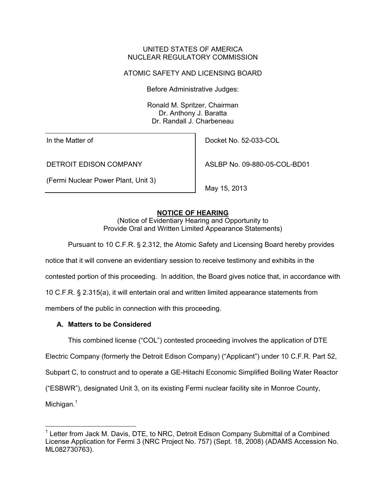### UNITED STATES OF AMERICA NUCLEAR REGULATORY COMMISSION

# ATOMIC SAFETY AND LICENSING BOARD

Before Administrative Judges:

Ronald M. Spritzer, Chairman Dr. Anthony J. Baratta Dr. Randall J. Charbeneau

In the Matter of

DETROIT EDISON COMPANY

(Fermi Nuclear Power Plant, Unit 3)

Docket No. 52-033-COL

ASLBP No. 09-880-05-COL-BD01

May 15, 2013

# **NOTICE OF HEARING**

(Notice of Evidentiary Hearing and Opportunity to Provide Oral and Written Limited Appearance Statements)

Pursuant to 10 C.F.R. § 2.312, the Atomic Safety and Licensing Board hereby provides

notice that it will convene an evidentiary session to receive testimony and exhibits in the

contested portion of this proceeding. In addition, the Board gives notice that, in accordance with

10 C.F.R. § 2.315(a), it will entertain oral and written limited appearance statements from

members of the public in connection with this proceeding.

# **A. Matters to be Considered**

This combined license ("COL") contested proceeding involves the application of DTE

Electric Company (formerly the Detroit Edison Company) ("Applicant") under 10 C.F.R. Part 52,

Subpart C, to construct and to operate a GE-Hitachi Economic Simplified Boiling Water Reactor

("ESBWR"), designated Unit 3, on its existing Fermi nuclear facility site in Monroe County,

Michigan.<sup>1</sup>

 $\overline{a}$ 

<sup>&</sup>lt;sup>1</sup> Letter from Jack M. Davis, DTE, to NRC, Detroit Edison Company Submittal of a Combined License Application for Fermi 3 (NRC Project No. 757) (Sept. 18, 2008) (ADAMS Accession No. ML082730763).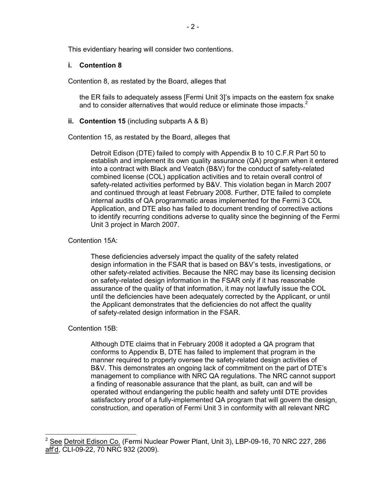This evidentiary hearing will consider two contentions.

### **i. Contention 8**

Contention 8, as restated by the Board, alleges that

the ER fails to adequately assess [Fermi Unit 3]'s impacts on the eastern fox snake and to consider alternatives that would reduce or eliminate those impacts. $2$ 

### **ii. Contention 15** (including subparts A & B)

Contention 15, as restated by the Board, alleges that

 Detroit Edison (DTE) failed to comply with Appendix B to 10 C.F.R Part 50 to establish and implement its own quality assurance (QA) program when it entered into a contract with Black and Veatch (B&V) for the conduct of safety-related combined license (COL) application activities and to retain overall control of safety-related activities performed by B&V. This violation began in March 2007 and continued through at least February 2008. Further, DTE failed to complete internal audits of QA programmatic areas implemented for the Fermi 3 COL Application, and DTE also has failed to document trending of corrective actions to identify recurring conditions adverse to quality since the beginning of the Fermi Unit 3 project in March 2007.

# Contention 15A:

These deficiencies adversely impact the quality of the safety related design information in the FSAR that is based on B&V's tests, investigations, or other safety-related activities. Because the NRC may base its licensing decision on safety-related design information in the FSAR only if it has reasonable assurance of the quality of that information, it may not lawfully issue the COL until the deficiencies have been adequately corrected by the Applicant, or until the Applicant demonstrates that the deficiencies do not affect the quality of safety-related design information in the FSAR.

# Contention 15B:

 $\overline{a}$ 

Although DTE claims that in February 2008 it adopted a QA program that conforms to Appendix B, DTE has failed to implement that program in the manner required to properly oversee the safety-related design activities of B&V. This demonstrates an ongoing lack of commitment on the part of DTE's management to compliance with NRC QA regulations. The NRC cannot support a finding of reasonable assurance that the plant, as built, can and will be operated without endangering the public health and safety until DTE provides satisfactory proof of a fully-implemented QA program that will govern the design, construction, and operation of Fermi Unit 3 in conformity with all relevant NRC

<sup>&</sup>lt;sup>2</sup> See Detroit Edison Co. (Fermi Nuclear Power Plant, Unit 3), LBP-09-16, 70 NRC 227, 286 aff'd, CLI-09-22, 70 NRC 932 (2009).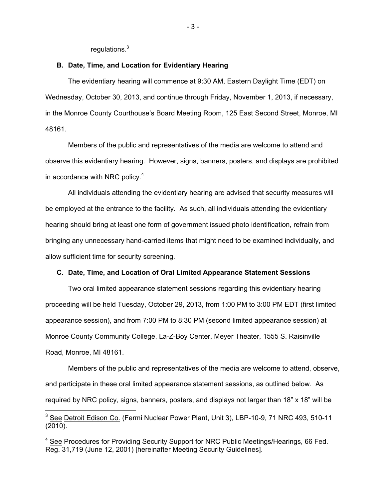regulations.<sup>3</sup>

 $\overline{a}$ 

#### **B. Date, Time, and Location for Evidentiary Hearing**

The evidentiary hearing will commence at 9:30 AM, Eastern Daylight Time (EDT) on Wednesday, October 30, 2013, and continue through Friday, November 1, 2013, if necessary, in the Monroe County Courthouse's Board Meeting Room, 125 East Second Street, Monroe, MI 48161.

Members of the public and representatives of the media are welcome to attend and observe this evidentiary hearing. However, signs, banners, posters, and displays are prohibited in accordance with NRC policy.<sup>4</sup>

All individuals attending the evidentiary hearing are advised that security measures will be employed at the entrance to the facility. As such, all individuals attending the evidentiary hearing should bring at least one form of government issued photo identification, refrain from bringing any unnecessary hand-carried items that might need to be examined individually, and allow sufficient time for security screening.

#### **C. Date, Time, and Location of Oral Limited Appearance Statement Sessions**

Two oral limited appearance statement sessions regarding this evidentiary hearing proceeding will be held Tuesday, October 29, 2013, from 1:00 PM to 3:00 PM EDT (first limited appearance session), and from 7:00 PM to 8:30 PM (second limited appearance session) at Monroe County Community College, La-Z-Boy Center, Meyer Theater, 1555 S. Raisinville Road, Monroe, MI 48161.

Members of the public and representatives of the media are welcome to attend, observe, and participate in these oral limited appearance statement sessions, as outlined below. As required by NRC policy, signs, banners, posters, and displays not larger than 18" x 18" will be

<sup>&</sup>lt;sup>3</sup> See Detroit Edison Co. (Fermi Nuclear Power Plant, Unit 3), LBP-10-9, 71 NRC 493, 510-11 (2010).

<sup>&</sup>lt;sup>4</sup> See Procedures for Providing Security Support for NRC Public Meetings/Hearings, 66 Fed. Reg. 31,719 (June 12, 2001) [hereinafter Meeting Security Guidelines].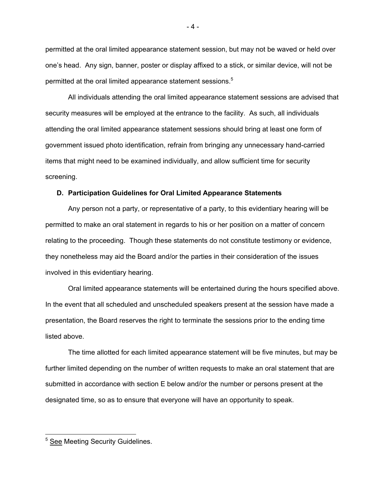permitted at the oral limited appearance statement session, but may not be waved or held over one's head. Any sign, banner, poster or display affixed to a stick, or similar device, will not be permitted at the oral limited appearance statement sessions.<sup>5</sup>

All individuals attending the oral limited appearance statement sessions are advised that security measures will be employed at the entrance to the facility. As such, all individuals attending the oral limited appearance statement sessions should bring at least one form of government issued photo identification, refrain from bringing any unnecessary hand-carried items that might need to be examined individually, and allow sufficient time for security screening.

#### **D. Participation Guidelines for Oral Limited Appearance Statements**

Any person not a party, or representative of a party, to this evidentiary hearing will be permitted to make an oral statement in regards to his or her position on a matter of concern relating to the proceeding. Though these statements do not constitute testimony or evidence, they nonetheless may aid the Board and/or the parties in their consideration of the issues involved in this evidentiary hearing.

 Oral limited appearance statements will be entertained during the hours specified above. In the event that all scheduled and unscheduled speakers present at the session have made a presentation, the Board reserves the right to terminate the sessions prior to the ending time listed above.

 The time allotted for each limited appearance statement will be five minutes, but may be further limited depending on the number of written requests to make an oral statement that are submitted in accordance with section E below and/or the number or persons present at the designated time, so as to ensure that everyone will have an opportunity to speak.

- 4 -

 5 See Meeting Security Guidelines.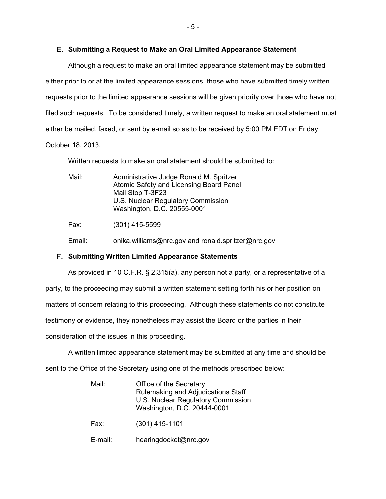### **E. Submitting a Request to Make an Oral Limited Appearance Statement**

Although a request to make an oral limited appearance statement may be submitted either prior to or at the limited appearance sessions, those who have submitted timely written requests prior to the limited appearance sessions will be given priority over those who have not filed such requests. To be considered timely, a written request to make an oral statement must either be mailed, faxed, or sent by e-mail so as to be received by 5:00 PM EDT on Friday, October 18, 2013.

Written requests to make an oral statement should be submitted to:

| Mail: | Administrative Judge Ronald M. Spritzer<br>Atomic Safety and Licensing Board Panel<br>Mail Stop T-3F23<br>U.S. Nuclear Regulatory Commission<br>Washington, D.C. 20555-0001 |  |
|-------|-----------------------------------------------------------------------------------------------------------------------------------------------------------------------------|--|
| Fax:  | $(301)$ 415-5599                                                                                                                                                            |  |
|       |                                                                                                                                                                             |  |

Email: onika.williams@nrc.gov and ronald.spritzer@nrc.gov

# **F. Submitting Written Limited Appearance Statements**

As provided in 10 C.F.R. § 2.315(a), any person not a party, or a representative of a party, to the proceeding may submit a written statement setting forth his or her position on matters of concern relating to this proceeding. Although these statements do not constitute testimony or evidence, they nonetheless may assist the Board or the parties in their consideration of the issues in this proceeding.

A written limited appearance statement may be submitted at any time and should be

sent to the Office of the Secretary using one of the methods prescribed below:

| Mail:   | Office of the Secretary<br>Rulemaking and Adjudications Staff<br>U.S. Nuclear Regulatory Commission<br>Washington, D.C. 20444-0001 |
|---------|------------------------------------------------------------------------------------------------------------------------------------|
| Fax:    | $(301)$ 415-1101                                                                                                                   |
| E-mail: | hearingdocket@nrc.gov                                                                                                              |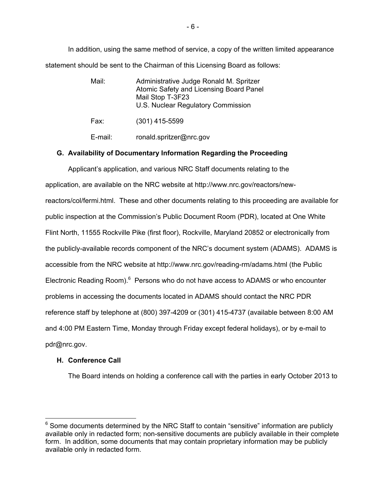In addition, using the same method of service, a copy of the written limited appearance statement should be sent to the Chairman of this Licensing Board as follows:

- Mail: Administrative Judge Ronald M. Spritzer Atomic Safety and Licensing Board Panel Mail Stop T-3F23 U.S. Nuclear Regulatory Commission
- Fax: (301) 415-5599

E-mail: ronald.spritzer@nrc.gov

# **G. Availability of Documentary Information Regarding the Proceeding**

Applicant's application, and various NRC Staff documents relating to the application, are available on the NRC website at http://www.nrc.gov/reactors/newreactors/col/fermi.html. These and other documents relating to this proceeding are available for public inspection at the Commission's Public Document Room (PDR), located at One White Flint North, 11555 Rockville Pike (first floor), Rockville, Maryland 20852 or electronically from the publicly-available records component of the NRC's document system (ADAMS). ADAMS is accessible from the NRC website at http://www.nrc.gov/reading-rm/adams.html (the Public Electronic Reading Room).<sup>6</sup> Persons who do not have access to ADAMS or who encounter problems in accessing the documents located in ADAMS should contact the NRC PDR reference staff by telephone at (800) 397-4209 or (301) 415-4737 (available between 8:00 AM and 4:00 PM Eastern Time, Monday through Friday except federal holidays), or by e-mail to pdr@nrc.gov.

# **H. Conference Call**

 $\overline{a}$ 

The Board intends on holding a conference call with the parties in early October 2013 to

 $6$  Some documents determined by the NRC Staff to contain "sensitive" information are publicly available only in redacted form; non-sensitive documents are publicly available in their complete form. In addition, some documents that may contain proprietary information may be publicly available only in redacted form.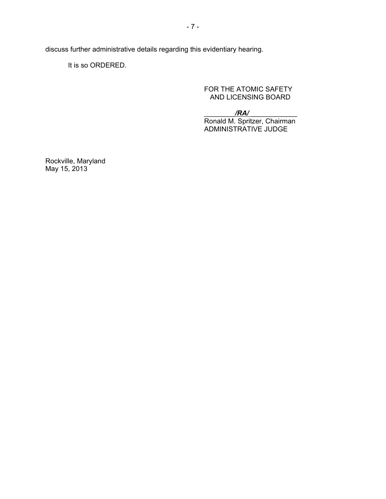discuss further administrative details regarding this evidentiary hearing.

It is so ORDERED.

FOR THE ATOMIC SAFETY AND LICENSING BOARD

\_\_\_\_\_\_\_\_*/RA/* \_\_\_\_\_\_\_\_\_\_\_\_

 Ronald M. Spritzer, Chairman ADMINISTRATIVE JUDGE

Rockville, Maryland May 15, 2013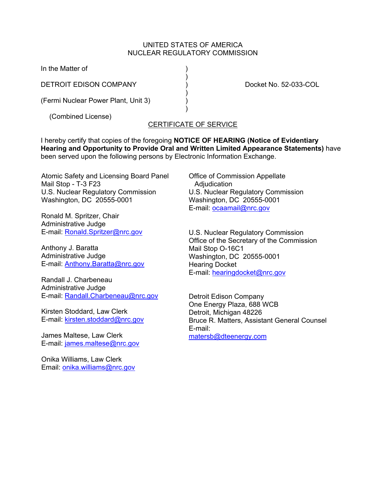### UNITED STATES OF AMERICA NUCLEAR REGULATORY COMMISSION

In the Matter of  $\hspace{1.5cm}$  )

DETROIT EDISON COMPANY (DETROIT EDISON COMPANY ) Docket No. 52-033-COL

 $)$ (Fermi Nuclear Power Plant, Unit 3) )

 $)$ 

 $)$ (Combined License)

# CERTIFICATE OF SERVICE

I hereby certify that copies of the foregoing **NOTICE OF HEARING (Notice of Evidentiary Hearing and Opportunity to Provide Oral and Written Limited Appearance Statements)** have been served upon the following persons by Electronic Information Exchange.

Atomic Safety and Licensing Board Panel Mail Stop - T-3 F23 U.S. Nuclear Regulatory Commission Washington, DC 20555-0001

Ronald M. Spritzer, Chair Administrative Judge E-mail: Ronald.Spritzer@nrc.gov

Anthony J. Baratta Administrative Judge E-mail: Anthony.Baratta@nrc.gov

Randall J. Charbeneau Administrative Judge E-mail: Randall.Charbeneau@nrc.gov

Kirsten Stoddard, Law Clerk E-mail: kirsten.stoddard@nrc.gov

James Maltese, Law Clerk E-mail: james.maltese@nrc.gov

Onika Williams, Law Clerk Email: onika.williams@nrc.gov Office of Commission Appellate Adjudication U.S. Nuclear Regulatory Commission Washington, DC 20555-0001 E-mail: ocaamail@nrc.gov

U.S. Nuclear Regulatory Commission Office of the Secretary of the Commission Mail Stop O-16C1 Washington, DC 20555-0001 Hearing Docket E-mail: hearingdocket@nrc.gov

Detroit Edison Company One Energy Plaza, 688 WCB Detroit, Michigan 48226 Bruce R. Matters, Assistant General Counsel E-mail: matersb@dteenergy.com